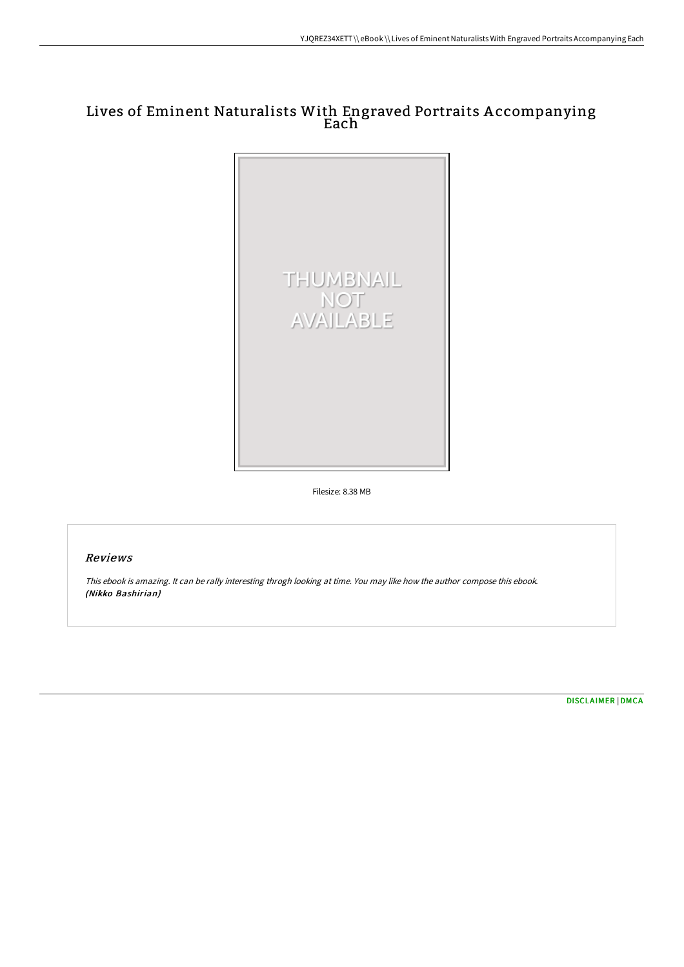## Lives of Eminent Naturalists With Engraved Portraits A ccompanying Each



Filesize: 8.38 MB

## Reviews

This ebook is amazing. It can be rally interesting throgh looking at time. You may like how the author compose this ebook. (Nikko Bashirian)

[DISCLAIMER](http://digilib.live/disclaimer.html) | [DMCA](http://digilib.live/dmca.html)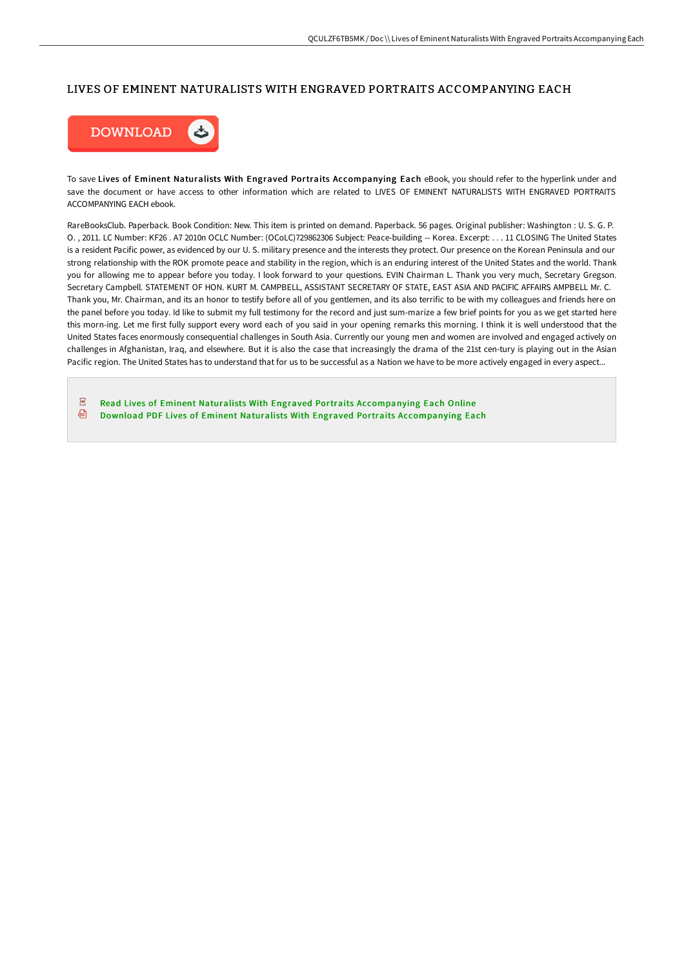## LIVES OF EMINENT NATURALISTS WITH ENGRAVED PORTRAITS ACCOMPANYING EACH



To save Lives of Eminent Naturalists With Engraved Portraits Accompanying Each eBook, you should refer to the hyperlink under and save the document or have access to other information which are related to LIVES OF EMINENT NATURALISTS WITH ENGRAVED PORTRAITS ACCOMPANYING EACH ebook.

RareBooksClub. Paperback. Book Condition: New. This item is printed on demand. Paperback. 56 pages. Original publisher: Washington : U. S. G. P. O. , 2011. LC Number: KF26 . A7 2010n OCLC Number: (OCoLC)729862306 Subject: Peace-building -- Korea. Excerpt: . . . 11 CLOSING The United States is a resident Pacific power, as evidenced by our U. S. military presence and the interests they protect. Our presence on the Korean Peninsula and our strong relationship with the ROK promote peace and stability in the region, which is an enduring interest of the United States and the world. Thank you for allowing me to appear before you today. I look forward to your questions. EVIN Chairman L. Thank you very much, Secretary Gregson. Secretary Campbell. STATEMENT OF HON. KURT M. CAMPBELL, ASSISTANT SECRETARY OF STATE. EAST ASIA AND PACIFIC AFFAIRS AMPBELL Mr. C. Thank you, Mr. Chairman, and its an honor to testify before all of you gentlemen, and its also terrific to be with my colleagues and friends here on the panel before you today. Id like to submit my full testimony for the record and just sum-marize a few brief points for you as we get started here this morn-ing. Let me first fully support every word each of you said in your opening remarks this morning. I think it is well understood that the United States faces enormously consequential challenges in South Asia. Currently our young men and women are involved and engaged actively on challenges in Afghanistan, Iraq, and elsewhere. But it is also the case that increasingly the drama of the 21st cen-tury is playing out in the Asian Pacific region. The United States has to understand that for us to be successful as a Nation we have to be more actively engaged in every aspect...

 $\overline{\rm \bf PDF}$ Read Lives of Eminent Naturalists With Engraved Portraits [Accompanying](http://digilib.live/lives-of-eminent-naturalists-with-engraved-portr.html) Each Online

⊕ Download PDF Lives of Eminent Naturalists With Engraved Portraits [Accompanying](http://digilib.live/lives-of-eminent-naturalists-with-engraved-portr.html) Each